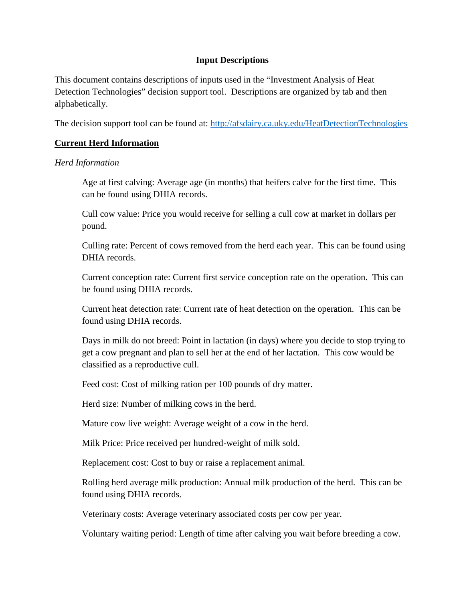# **Input Descriptions**

This document contains descriptions of inputs used in the "Investment Analysis of Heat Detection Technologies" decision support tool. Descriptions are organized by tab and then alphabetically.

The decision support tool can be found at: <http://afsdairy.ca.uky.edu/HeatDetectionTechnologies>

# **Current Herd Information**

### *Herd Information*

Age at first calving: Average age (in months) that heifers calve for the first time. This can be found using DHIA records.

Cull cow value: Price you would receive for selling a cull cow at market in dollars per pound.

Culling rate: Percent of cows removed from the herd each year. This can be found using DHIA records.

Current conception rate: Current first service conception rate on the operation. This can be found using DHIA records.

Current heat detection rate: Current rate of heat detection on the operation. This can be found using DHIA records.

Days in milk do not breed: Point in lactation (in days) where you decide to stop trying to get a cow pregnant and plan to sell her at the end of her lactation. This cow would be classified as a reproductive cull.

Feed cost: Cost of milking ration per 100 pounds of dry matter.

Herd size: Number of milking cows in the herd.

Mature cow live weight: Average weight of a cow in the herd.

Milk Price: Price received per hundred-weight of milk sold.

Replacement cost: Cost to buy or raise a replacement animal.

Rolling herd average milk production: Annual milk production of the herd. This can be found using DHIA records.

Veterinary costs: Average veterinary associated costs per cow per year.

Voluntary waiting period: Length of time after calving you wait before breeding a cow.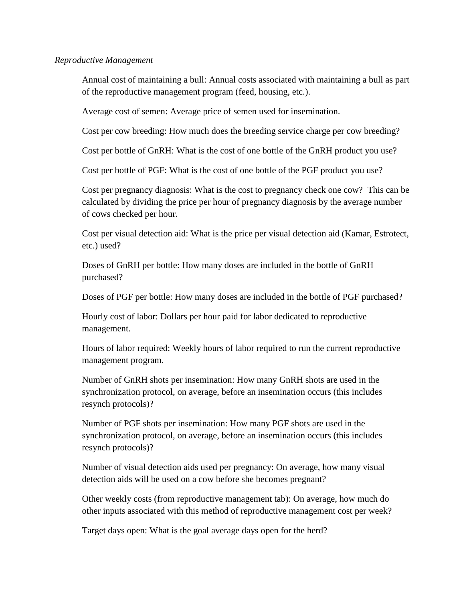#### *Reproductive Management*

Annual cost of maintaining a bull: Annual costs associated with maintaining a bull as part of the reproductive management program (feed, housing, etc.).

Average cost of semen: Average price of semen used for insemination.

Cost per cow breeding: How much does the breeding service charge per cow breeding?

Cost per bottle of GnRH: What is the cost of one bottle of the GnRH product you use?

Cost per bottle of PGF: What is the cost of one bottle of the PGF product you use?

Cost per pregnancy diagnosis: What is the cost to pregnancy check one cow? This can be calculated by dividing the price per hour of pregnancy diagnosis by the average number of cows checked per hour.

Cost per visual detection aid: What is the price per visual detection aid (Kamar, Estrotect, etc.) used?

Doses of GnRH per bottle: How many doses are included in the bottle of GnRH purchased?

Doses of PGF per bottle: How many doses are included in the bottle of PGF purchased?

Hourly cost of labor: Dollars per hour paid for labor dedicated to reproductive management.

Hours of labor required: Weekly hours of labor required to run the current reproductive management program.

Number of GnRH shots per insemination: How many GnRH shots are used in the synchronization protocol, on average, before an insemination occurs (this includes resynch protocols)?

Number of PGF shots per insemination: How many PGF shots are used in the synchronization protocol, on average, before an insemination occurs (this includes resynch protocols)?

Number of visual detection aids used per pregnancy: On average, how many visual detection aids will be used on a cow before she becomes pregnant?

Other weekly costs (from reproductive management tab): On average, how much do other inputs associated with this method of reproductive management cost per week?

Target days open: What is the goal average days open for the herd?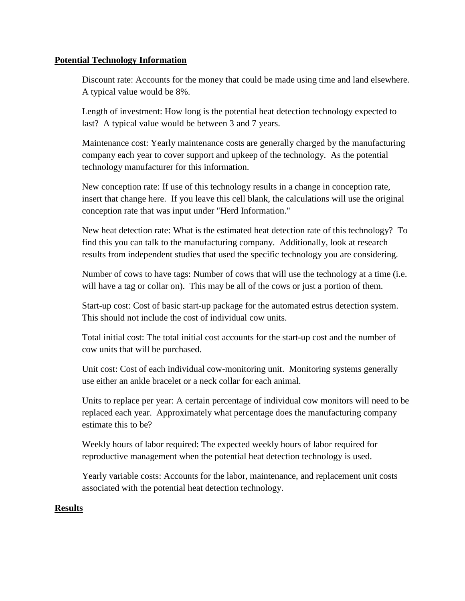## **Potential Technology Information**

Discount rate: Accounts for the money that could be made using time and land elsewhere. A typical value would be 8%.

Length of investment: How long is the potential heat detection technology expected to last? A typical value would be between 3 and 7 years.

Maintenance cost: Yearly maintenance costs are generally charged by the manufacturing company each year to cover support and upkeep of the technology. As the potential technology manufacturer for this information.

New conception rate: If use of this technology results in a change in conception rate, insert that change here. If you leave this cell blank, the calculations will use the original conception rate that was input under "Herd Information."

New heat detection rate: What is the estimated heat detection rate of this technology? To find this you can talk to the manufacturing company. Additionally, look at research results from independent studies that used the specific technology you are considering.

Number of cows to have tags: Number of cows that will use the technology at a time (i.e. will have a tag or collar on). This may be all of the cows or just a portion of them.

Start-up cost: Cost of basic start-up package for the automated estrus detection system. This should not include the cost of individual cow units.

Total initial cost: The total initial cost accounts for the start-up cost and the number of cow units that will be purchased.

Unit cost: Cost of each individual cow-monitoring unit. Monitoring systems generally use either an ankle bracelet or a neck collar for each animal.

Units to replace per year: A certain percentage of individual cow monitors will need to be replaced each year. Approximately what percentage does the manufacturing company estimate this to be?

Weekly hours of labor required: The expected weekly hours of labor required for reproductive management when the potential heat detection technology is used.

Yearly variable costs: Accounts for the labor, maintenance, and replacement unit costs associated with the potential heat detection technology.

# **Results**